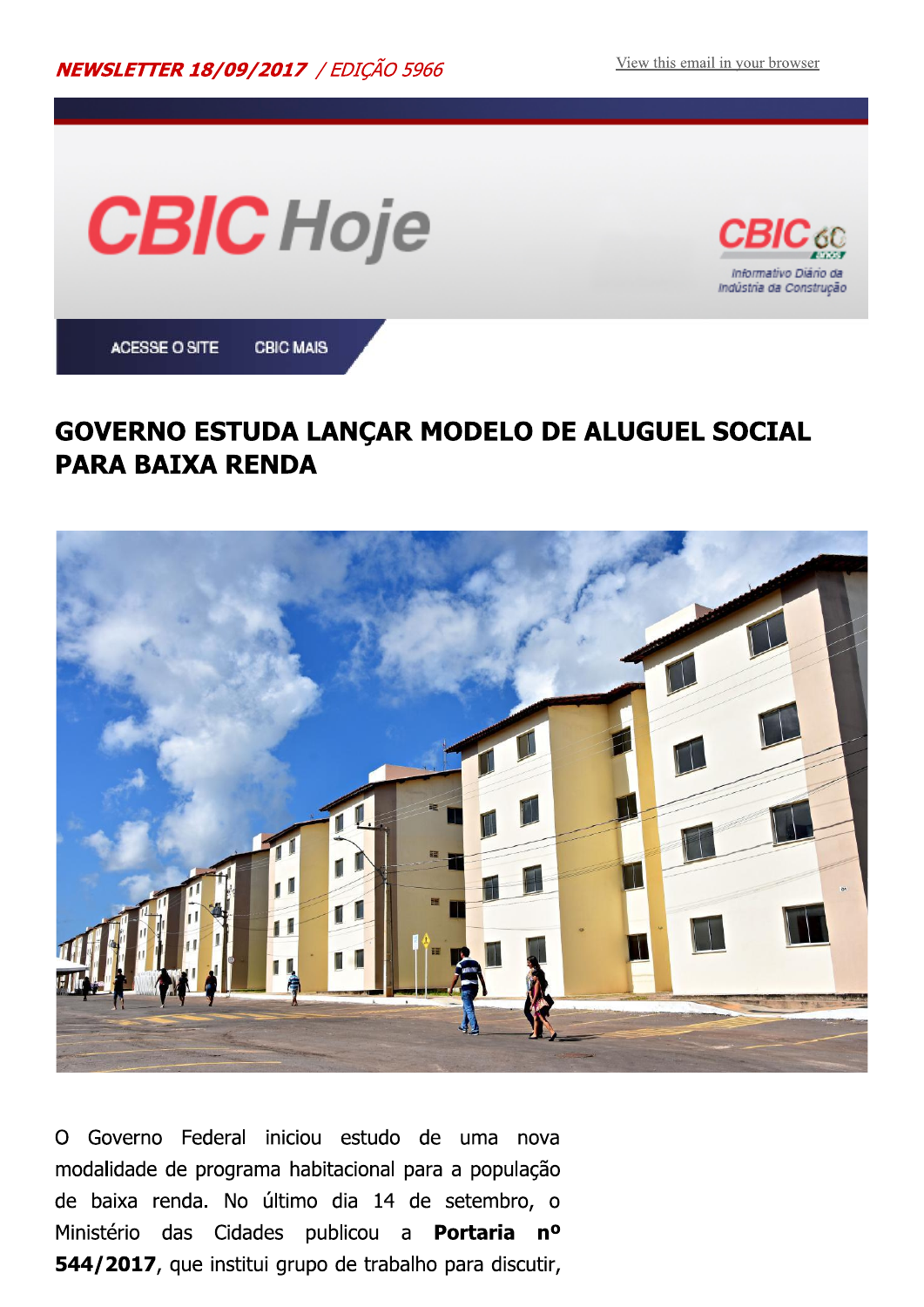Indústria da Construção



#### **GOVERNO ESTUDA LANÇAR MODELO DE ALUGUEL SOCIAL PARA BAIXA RENDA**



Governo Federal iniciou estudo de uma nova  $\Omega$ modalidade de programa habitacional para a população de baixa renda. No último dia 14 de setembro, o Ministério das Cidades publicou a **Portaria nº** 544/2017, que institui grupo de trabalho para discutir,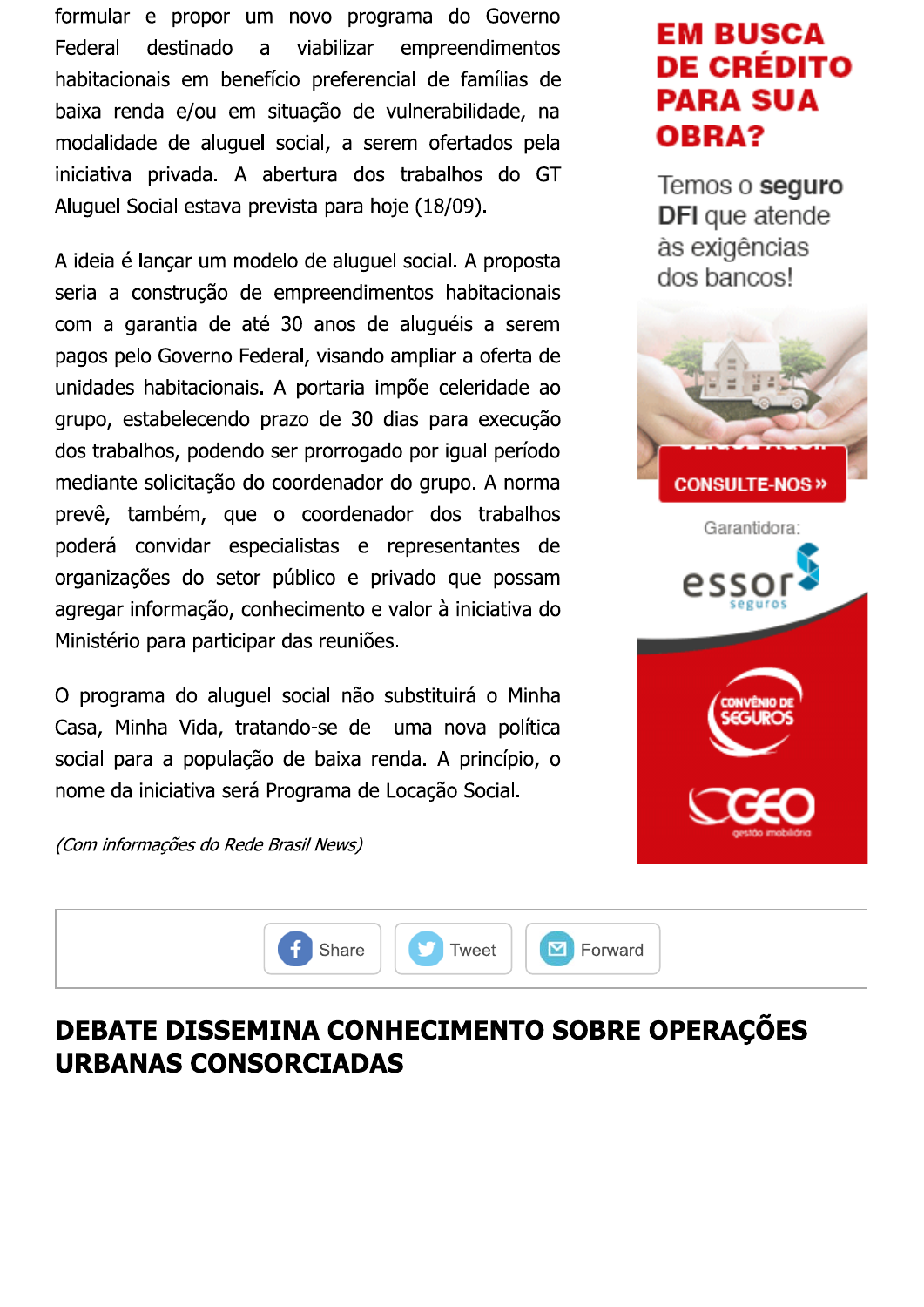formular e propor um novo programa do Governo Federal destinado a viabilizar empreendimentos habitacionais em benefício preferencial de famílias de baixa renda e/ou em situação de vulnerabilidade, na modalidade de aluguel social, a serem ofertados pela iniciativa privada. A abertura dos trabalhos do GT Aluguel Social estava prevista para hoje (18/09).

A ideia é lançar um modelo de aluguel social. A proposta seria a construção de empreendimentos habitacionais com a garantia de até 30 anos de aluguéis a serem pagos pelo Governo Federal, visando ampliar a oferta de unidades habitacionais. A portaria impõe celeridade ao grupo, estabelecendo prazo de 30 dias para execução dos trabalhos, podendo ser prorrogado por igual período mediante solicitação do coordenador do grupo. A norma prevê, também, que o coordenador dos trabalhos poderá convidar especialistas e representantes de organizações do setor público e privado que possam agregar informação, conhecimento e valor à iniciativa do Ministério para participar das reuniões.

O programa do aluguel social não substituirá o Minha Casa, Minha Vida, tratando-se de uma nova política social para a população de baixa renda. A princípio, o nome da iniciativa será Programa de Locação Social.

**EM BUSCA DE CRÉDITO PARA SUA OBRA?** 

Temos o seguro **DFI** que atende às exigências dos bancos!





(Com informações do Rede Brasil News)



### DEBATE DISSEMINA CONHECIMENTO SOBRE OPERAÇÕES **URBANAS CONSORCIADAS**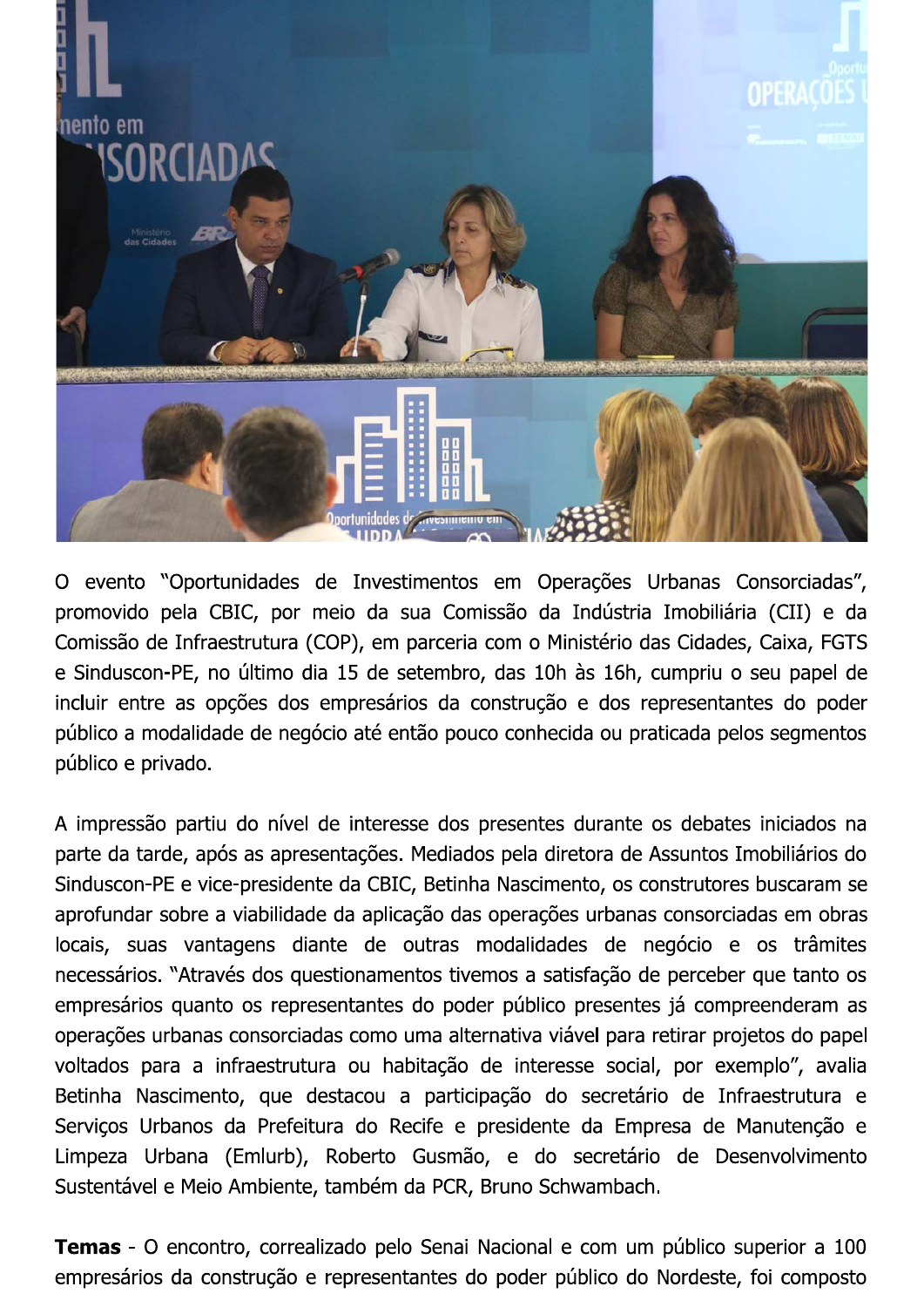

O evento "Oportunidades de Investimentos em Operações Urbanas Consorciadas", promovido pela CBIC, por meio da sua Comissão da Indústria Imobiliária (CII) e da Comissão de Infraestrutura (COP), em parceria com o Ministério das Cidades, Caixa, FGTS e Sinduscon-PE, no último dia 15 de setembro, das 10h às 16h, cumpriu o seu papel de incluir entre as opções dos empresários da construção e dos representantes do poder público a modalidade de negócio até então pouco conhecida ou praticada pelos segmentos público e privado.

A impressão partiu do nível de interesse dos presentes durante os debates iniciados na parte da tarde, após as apresentações. Mediados pela diretora de Assuntos Imobiliários do Sinduscon-PE e vice-presidente da CBIC, Betinha Nascimento, os construtores buscaram se aprofundar sobre a viabilidade da aplicação das operações urbanas consorciadas em obras locais, suas vantagens diante de outras modalidades de negócio e os trâmites necessários. "Através dos questionamentos tivemos a satisfação de perceber que tanto os empresários quanto os representantes do poder público presentes já compreenderam as operações urbanas consorciadas como uma alternativa viável para retirar projetos do papel voltados para a infraestrutura ou habitação de interesse social, por exemplo", avalia Betinha Nascimento, que destacou a participação do secretário de Infraestrutura e Serviços Urbanos da Prefeitura do Recife e presidente da Empresa de Manutenção e Limpeza Urbana (Emlurb), Roberto Gusmão, e do secretário de Desenvolvimento Sustentável e Meio Ambiente, também da PCR, Bruno Schwambach.

Temas - O encontro, correalizado pelo Senai Nacional e com um público superior a 100 empresários da construção e representantes do poder público do Nordeste, foi composto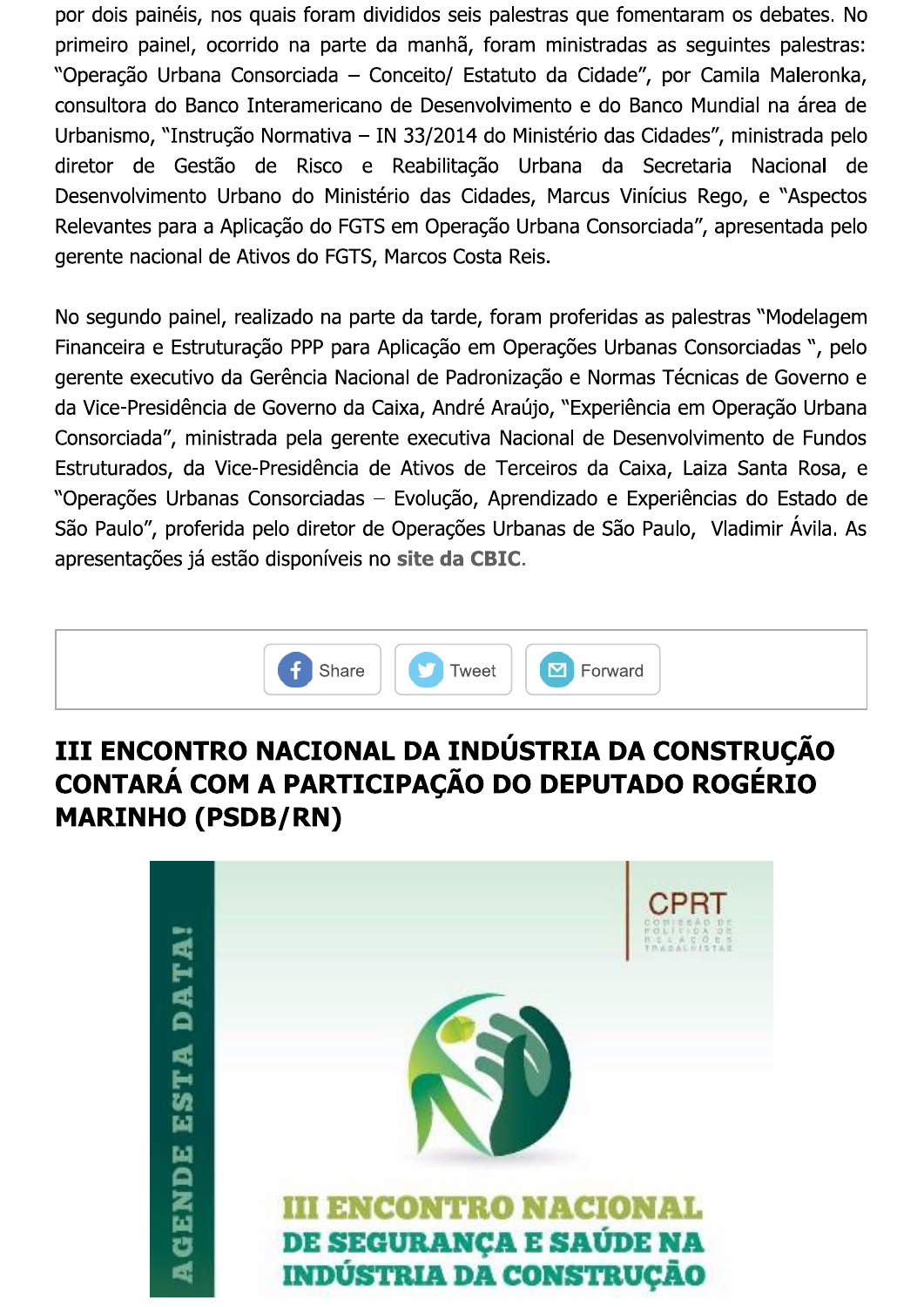por dois painéis, nos quais foram divididos seis palestras que fomentaram os debates. No primeiro painel, ocorrido na parte da manhã, foram ministradas as seguintes palestras: "Operação Urbana Consorciada – Conceito/ Estatuto da Cidade", por Camila Maleronka, consultora do Banco Interamericano de Desenvolvimento e do Banco Mundial na área de Urbanismo, "Instrução Normativa - IN 33/2014 do Ministério das Cidades", ministrada pelo diretor de Gestão de Risco e Reabilitação Urbana da Secretaria Nacional de Desenvolvimento Urbano do Ministério das Cidades, Marcus Vinícius Rego, e "Aspectos Relevantes para a Aplicação do FGTS em Operação Urbana Consorciada", apresentada pelo gerente nacional de Ativos do FGTS, Marcos Costa Reis.

No segundo painel, realizado na parte da tarde, foram proferidas as palestras "Modelagem" Financeira e Estruturação PPP para Aplicação em Operações Urbanas Consorciadas ", pelo gerente executivo da Gerência Nacional de Padronização e Normas Técnicas de Governo e da Vice-Presidência de Governo da Caixa, André Araújo, "Experiência em Operação Urbana Consorciada", ministrada pela gerente executiva Nacional de Desenvolvimento de Fundos Estruturados, da Vice-Presidência de Ativos de Terceiros da Caixa, Laiza Santa Rosa, e "Operações Urbanas Consorciadas - Evolução, Aprendizado e Experiências do Estado de São Paulo", proferida pelo diretor de Operações Urbanas de São Paulo, Vladimir Ávila. As apresentações já estão disponíveis no site da CBIC.



### III ENCONTRO NACIONAL DA INDÚSTRIA DA CONSTRUÇÃO CONTARÁ COM A PARTICIPAÇÃO DO DEPUTADO ROGÉRIO **MARINHO (PSDB/RN)**

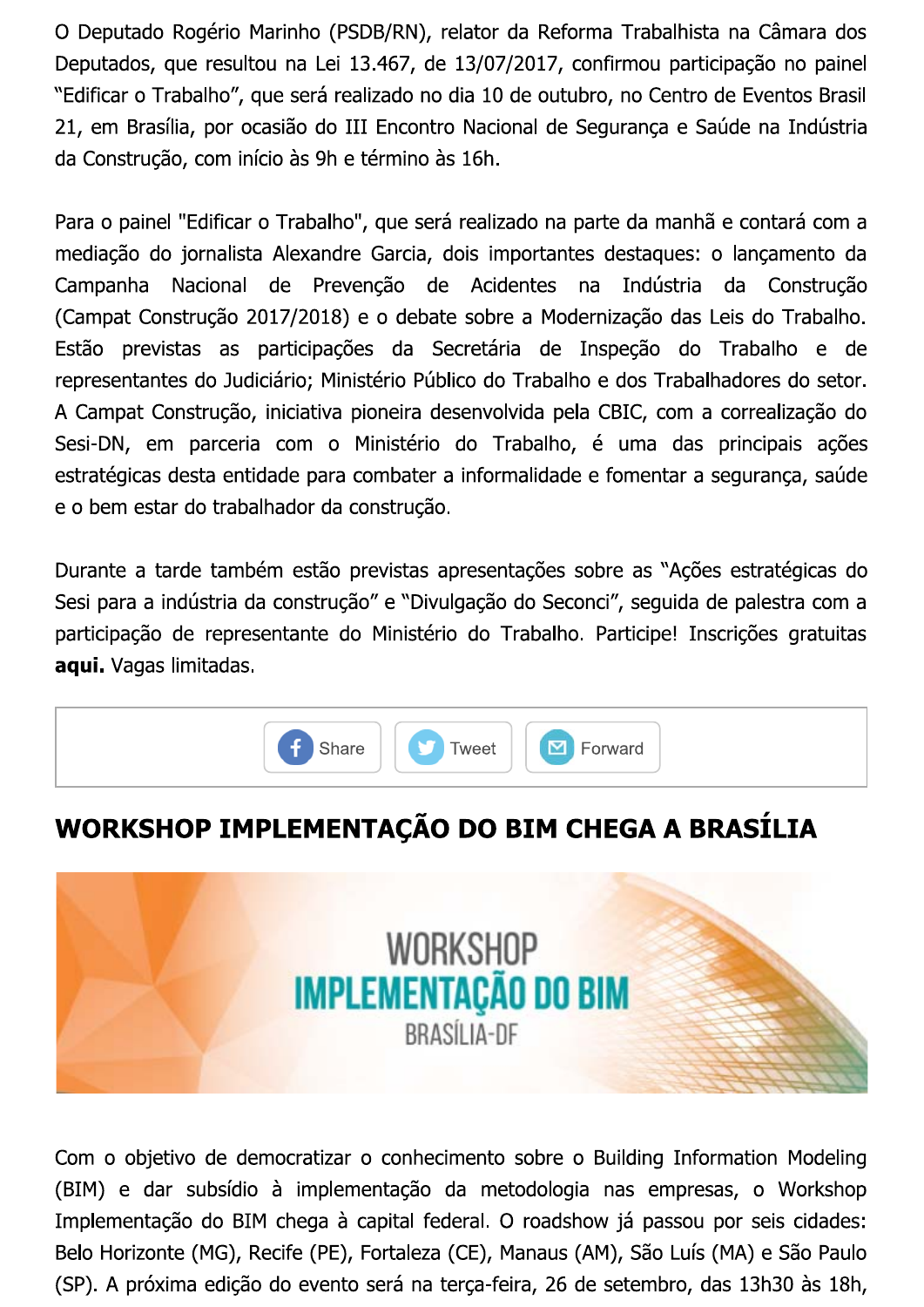O Deputado Rogério Marinho (PSDB/RN), relator da Reforma Trabalhista na Câmara dos Deputados, que resultou na Lei 13.467, de 13/07/2017, confirmou participação no painel "Edificar o Trabalho", que será realizado no dia 10 de outubro, no Centro de Eventos Brasil 21, em Brasília, por ocasião do III Encontro Nacional de Segurança e Saúde na Indústria da Construção, com início às 9h e término às 16h.

Para o painel "Edificar o Trabalho", que será realizado na parte da manhã e contará com a mediação do jornalista Alexandre Garcia, dois importantes destaques: o lançamento da Nacional de Prevenção de Acidentes  $na$ Indústria da Construção Campanha (Campat Construção 2017/2018) e o debate sobre a Modernização das Leis do Trabalho. Estão previstas as participações da Secretária de Inspeção do Trabalho e de representantes do Judiciário; Ministério Público do Trabalho e dos Trabalhadores do setor. A Campat Construção, iniciativa pioneira desenvolvida pela CBIC, com a correalização do Sesi-DN, em parceria com o Ministério do Trabalho, é uma das principais ações estratégicas desta entidade para combater a informalidade e fomentar a segurança, saúde e o bem estar do trabalhador da construção.

Durante a tarde também estão previstas apresentações sobre as "Ações estratégicas do Sesi para a indústria da construção" e "Divulgação do Seconci", seguida de palestra com a participação de representante do Ministério do Trabalho. Participe! Inscrições gratuitas aqui. Vagas limitadas.



# WORKSHOP IMPLEMENTAÇÃO DO BIM CHEGA A BRASÍLIA



Com o objetivo de democratizar o conhecimento sobre o Building Information Modeling (BIM) e dar subsídio à implementação da metodologia nas empresas, o Workshop Implementação do BIM chega à capital federal. O roadshow já passou por seis cidades: Belo Horizonte (MG), Recife (PE), Fortaleza (CE), Manaus (AM), São Luís (MA) e São Paulo (SP). A próxima edição do evento será na terça-feira, 26 de setembro, das 13h30 às 18h,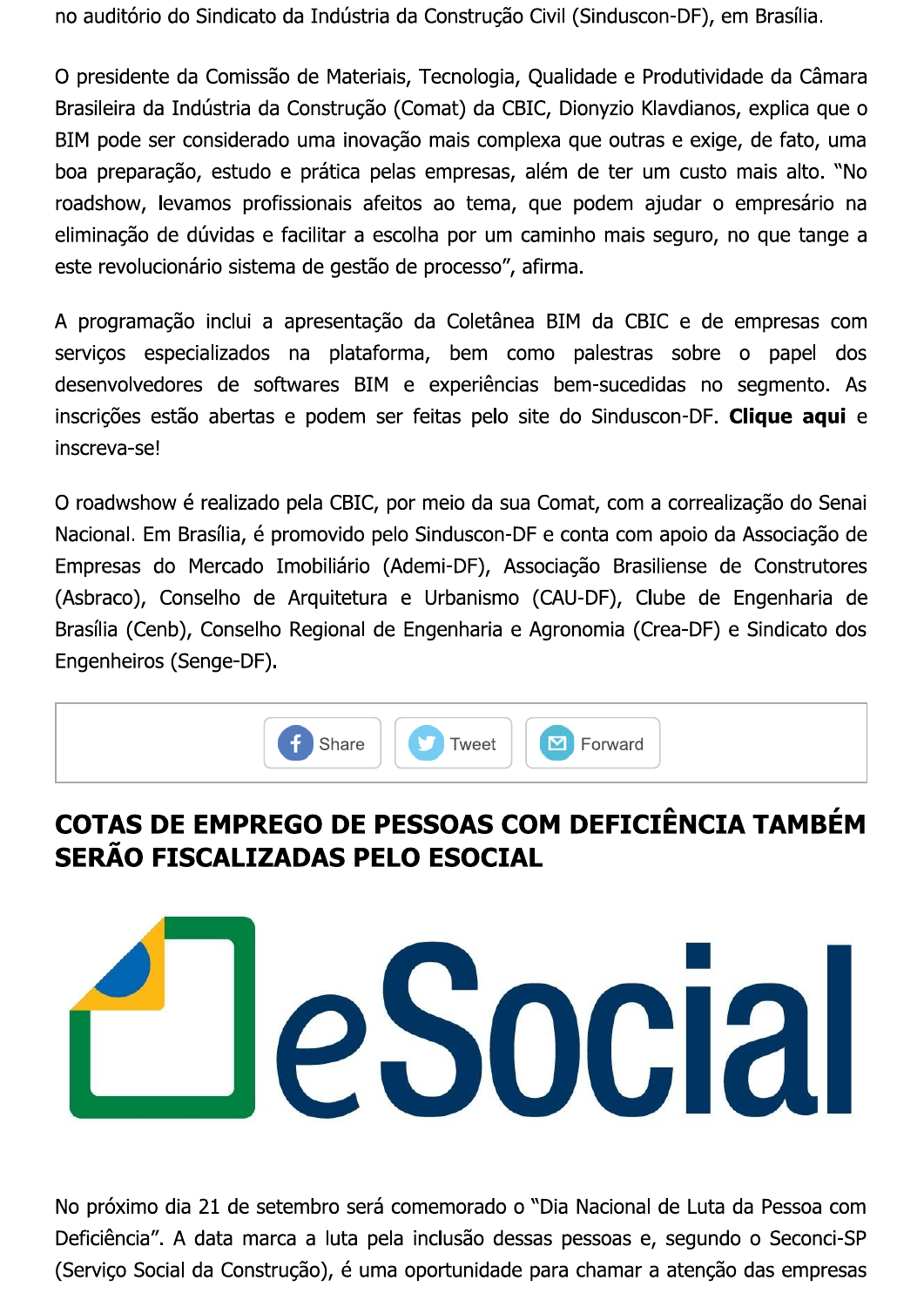no auditório do Sindicato da Indústria da Construção Civil (Sinduscon-DF), em Brasília.

O presidente da Comissão de Materiais, Tecnologia, Qualidade e Produtividade da Câmara Brasileira da Indústria da Construção (Comat) da CBIC, Dionyzio Klavdianos, explica que o BIM pode ser considerado uma inovação mais complexa que outras e exige, de fato, uma boa preparação, estudo e prática pelas empresas, além de ter um custo mais alto. "No roadshow, levamos profissionais afeitos ao tema, que podem ajudar o empresário na eliminação de dúvidas e facilitar a escolha por um caminho mais seguro, no que tange a este revolucionário sistema de gestão de processo", afirma.

A programação inclui a apresentação da Coletânea BIM da CBIC e de empresas com serviços especializados na plataforma, bem como palestras sobre o papel dos desenvolvedores de softwares BIM e experiências bem-sucedidas no segmento. As inscrições estão abertas e podem ser feitas pelo site do Sinduscon-DF. Clique aqui e inscreva-se!

O roadwshow é realizado pela CBIC, por meio da sua Comat, com a correalização do Senai Nacional. Em Brasília, é promovido pelo Sinduscon-DF e conta com apoio da Associação de Empresas do Mercado Imobiliário (Ademi-DF), Associação Brasiliense de Construtores (Asbraco), Conselho de Arquitetura e Urbanismo (CAU-DF), Clube de Engenharia de Brasília (Cenb), Conselho Regional de Engenharia e Agronomia (Crea-DF) e Sindicato dos Engenheiros (Senge-DF).



# COTAS DE EMPREGO DE PESSOAS COM DEFICIÊNCIA TAMBÉM SERÃO FISCALIZADAS PELO ESOCIAL



No próximo dia 21 de setembro será comemorado o "Dia Nacional de Luta da Pessoa com Deficiência". A data marca a luta pela inclusão dessas pessoas e, segundo o Seconci-SP (Serviço Social da Construção), é uma oportunidade para chamar a atenção das empresas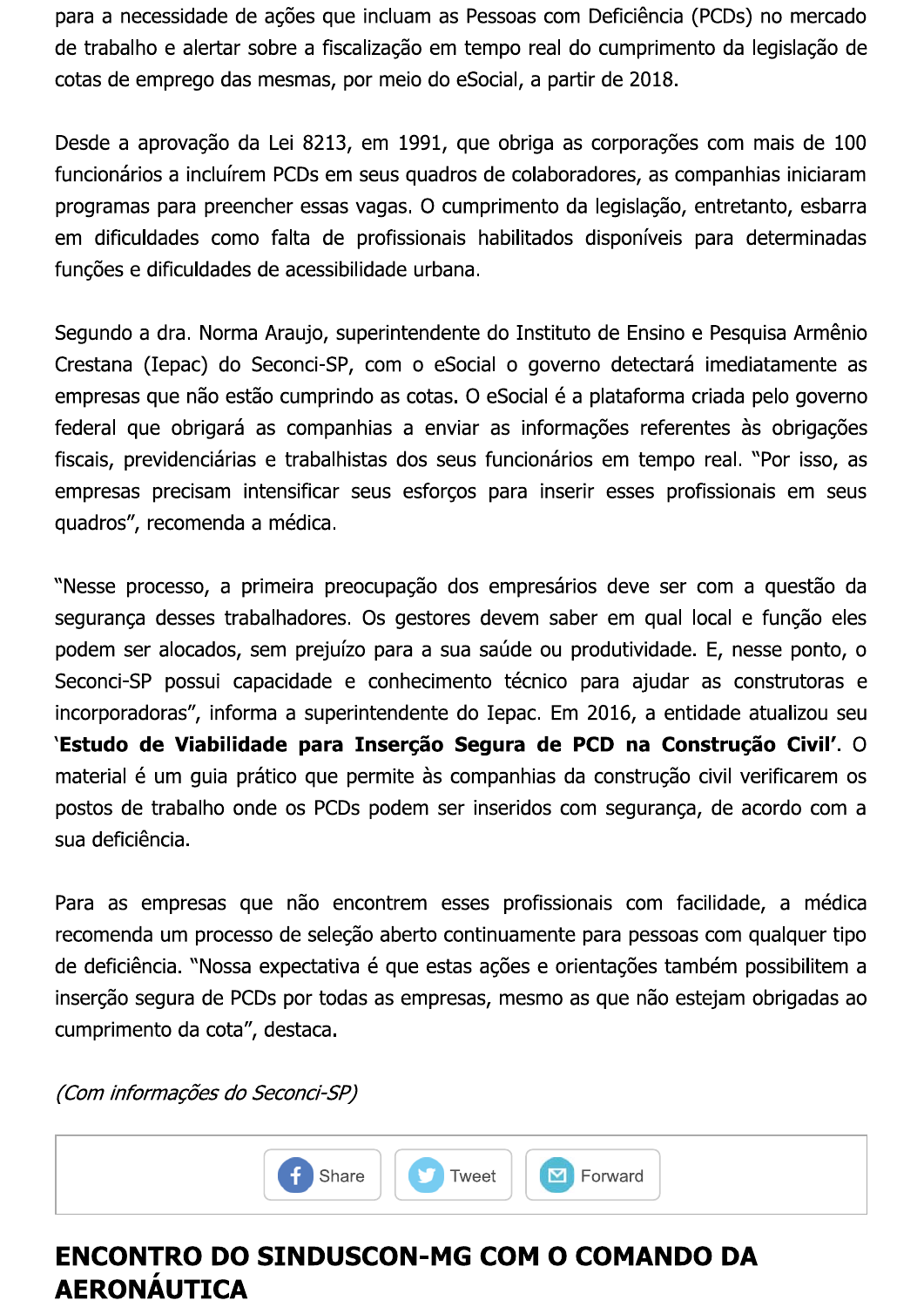para a necessidade de ações que incluam as Pessoas com Deficiência (PCDs) no mercado de trabalho e alertar sobre a fiscalização em tempo real do cumprimento da legislação de cotas de emprego das mesmas, por meio do eSocial, a partir de 2018.

Desde a aprovação da Lei 8213, em 1991, que obriga as corporações com mais de 100 funcionários a incluírem PCDs em seus quadros de colaboradores, as companhias iniciaram programas para preencher essas vagas. O cumprimento da legislação, entretanto, esbarra em dificuldades como falta de profissionais habilitados disponíveis para determinadas funções e dificuldades de acessibilidade urbana.

Segundo a dra. Norma Araujo, superintendente do Instituto de Ensino e Pesquisa Armênio Crestana (Iepac) do Seconci-SP, com o eSocial o governo detectará imediatamente as empresas que não estão cumprindo as cotas. O eSocial é a plataforma criada pelo governo federal que obrigará as companhias a enviar as informações referentes às obrigações fiscais, previdenciárias e trabalhistas dos seus funcionários em tempo real. "Por isso, as empresas precisam intensificar seus esforços para inserir esses profissionais em seus quadros", recomenda a médica.

"Nesse processo, a primeira preocupação dos empresários deve ser com a questão da segurança desses trabalhadores. Os gestores devem saber em qual local e função eles podem ser alocados, sem prejuízo para a sua saúde ou produtividade. E, nesse ponto, o Seconci-SP possui capacidade e conhecimento técnico para ajudar as construtoras e incorporadoras", informa a superintendente do Iepac. Em 2016, a entidade atualizou seu 'Estudo de Viabilidade para Inserção Segura de PCD na Construção Civil'. O material é um quia prático que permite às companhias da construção civil verificarem os postos de trabalho onde os PCDs podem ser inseridos com segurança, de acordo com a sua deficiência.

Para as empresas que não encontrem esses profissionais com facilidade, a médica recomenda um processo de seleção aberto continuamente para pessoas com qualquer tipo de deficiência. "Nossa expectativa é que estas ações e orientações também possibilitem a inserção segura de PCDs por todas as empresas, mesmo as que não estejam obrigadas ao cumprimento da cota", destaca.

(Com informações do Seconci-SP)



#### **ENCONTRO DO SINDUSCON-MG COM O COMANDO DA AERONÁUTICA**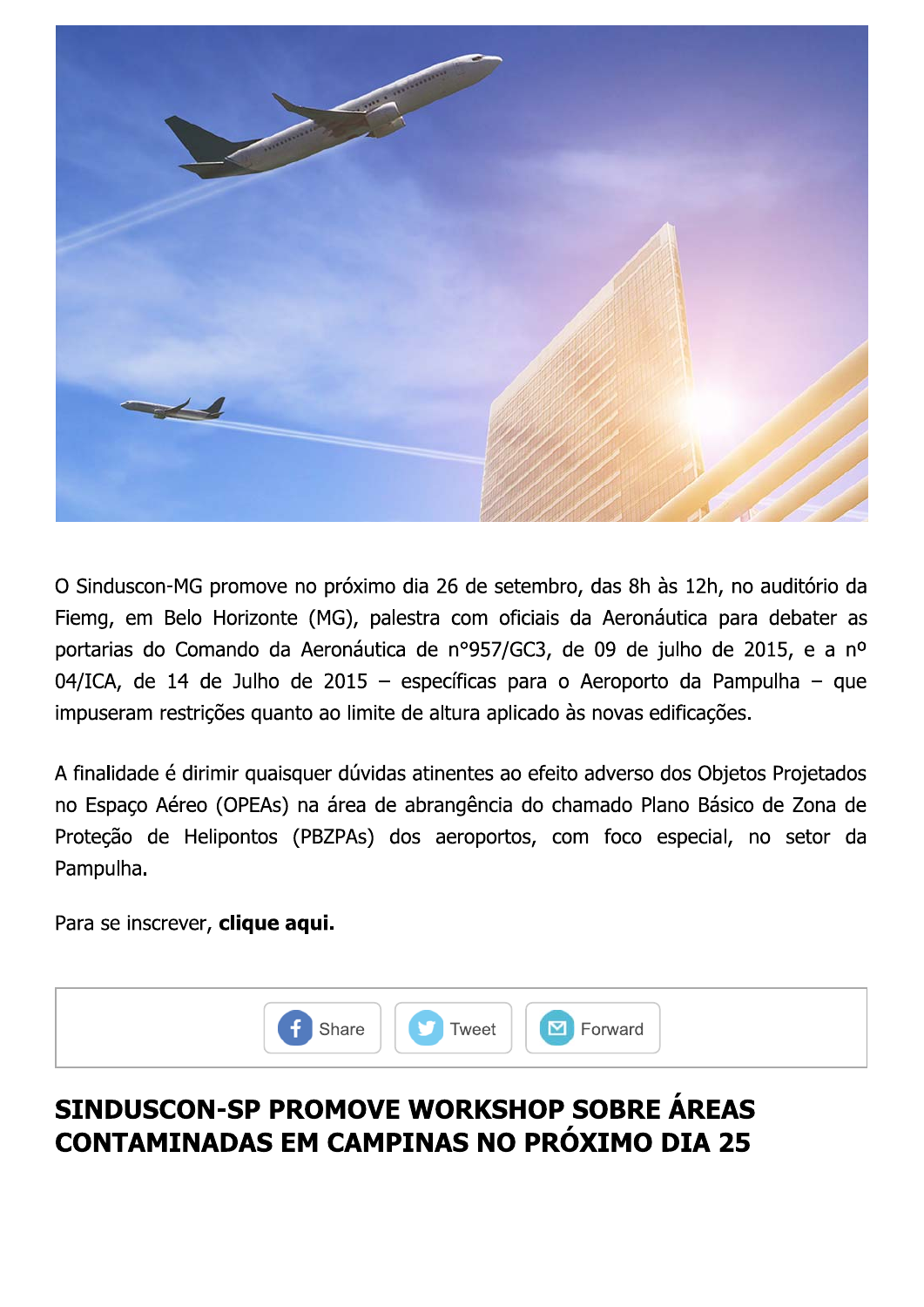

O Sinduscon-MG promove no proximo dia 26 de setembro, das 8n as 12n, no auditorio da Fiemg, em Belo Horizonte (שו), palestra com oficiais da Aeronautica para debater as próximo dia 26 de setembro, das 8h às 12<br>(MG), palestra com oficiais da Aeronáutica<br>Aeronáutica de nº957/GC3, de 09 de julho<br>2015 – específicas para o Aeroporto da<br>2015 – específicas para o Aeroporto da<br>2015 – específicas portarias do Comando da Aeronautica de nº957/GC3, de 09 de juino de 2015, e a nº 04/ICA, de 14 de Juino de 2015 — específicas para o Aeroporto da Pampuina — que ove no próximo dia 26 de setembro, das 8h<br>
sonte (MG), palestra com oficiais da Aeroni<br>
b da Aeronáutica de nº957/GC3, de 09 de<br>
lho de 2015 – específicas para o Aeroport<br>
quanto ao limite de altura aplicado às novas e<br>
ua impuseram restrições quanto ao ilmite de altura aplicado as hovas edificações. le setembro, das 8h às 12h, no auditório da<br>m oficiais da Aeronáutica para debater as<br>957/GC3, de 09 de julho de 2015, e a nº<br>cas para o Aeroporto da Pampulha — que<br>a aplicado às novas edificações.<br>es ao efeito adverso dos O Sinduscon-MG promov<br>Fiemg, em Belo Horizor<br>portarias do Comando d<br>04/ICA, de 14 de Julho<br>impuseram restrições qu<br>A finalidade é dirimir qua<br>no Espaço Aéreo (OPEA:<br>Proteção de Helipontos<br>Pampulha.<br>Para se inscrever, **cliq** róximo dia 26 de setembro, das 8h às 12h, r<br>5), palestra com oficiais da Aeronáutica pa<br>pnáutica de nº957/GC3, de 09 de julho de<br>015 – específicas para o Aeroporto da Par<br>plimite de altura aplicado às novas edificaçõe<br>dúvi

A finalidade e dirimir quaisquer duvidas atinentes ao efeito adverso dos Objetos Projetados no Espaço Aereo (OPEAS) na area de abrangencia do chamado Piano Basico de Zona de Proteção de Helipontos (PBZPAS) dos aeroportos, com foco especial, no setor da France de la proporto da Pampulha<br>
de altura aplicado às novas edificações.<br>
Satinentes ao efeito adverso dos Objetos Proj<br>
abrangência do chamado Plano Básico de Z<br>
os aeroportos, com foco especial, no se Pampulha.

Para se inscrever, **ciique aqui.** 



# SINDUSCON-SP PROMOVE WORKSHOP<sub>,</sub>SOBRE AREAS CONTAMINADAS EM CAMPINAS NO PROXIMO DIA 25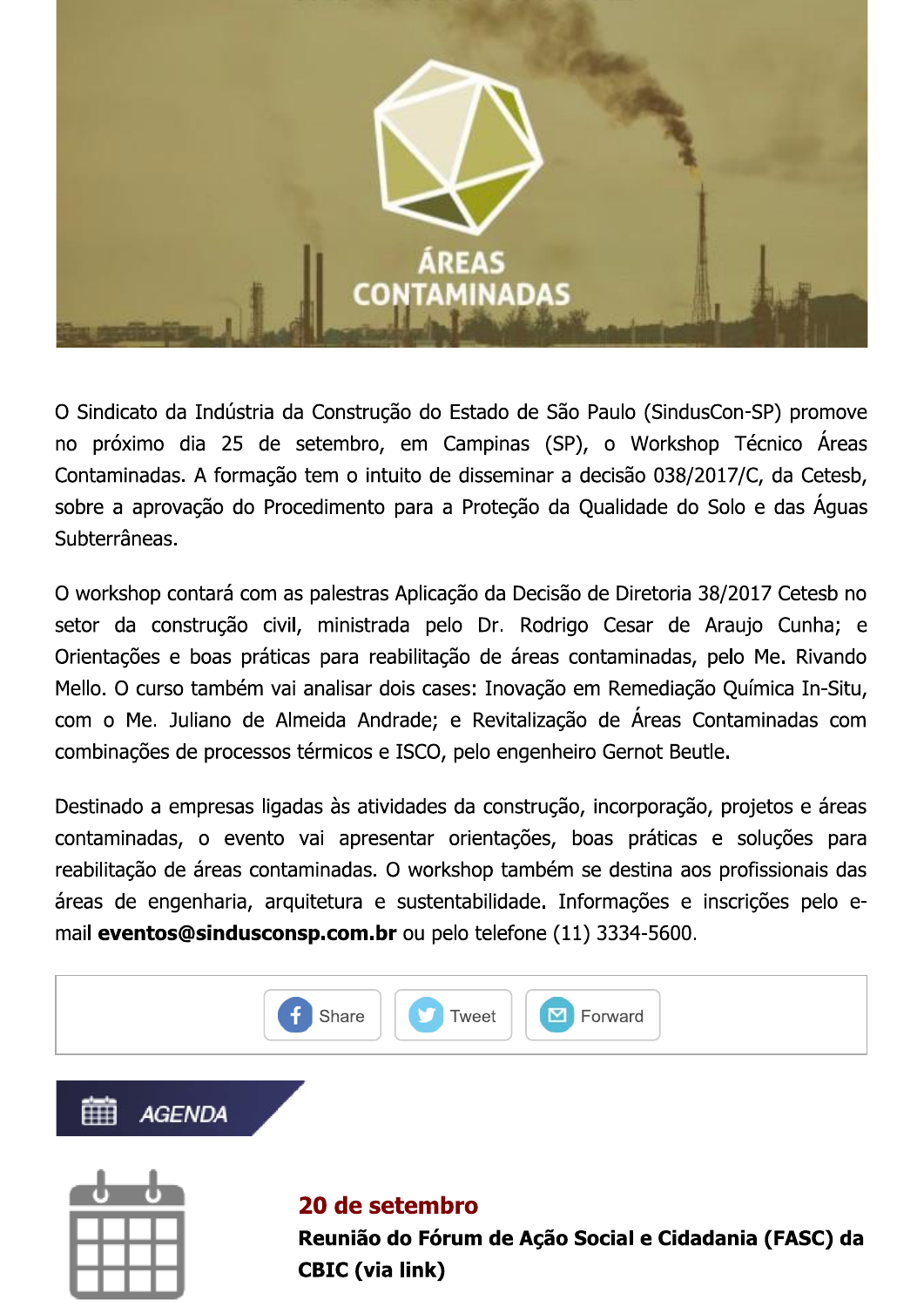

O Sindicato da Indústria da Construção do Estado de São Paulo (SindusCon-SP) promove no próximo dia 25 de setembro, em Campinas (SP), o Workshop Técnico Áreas Contaminadas. A formação tem o intuito de disseminar a decisão 038/2017/C, da Cetesb, sobre a aprovação do Procedimento para a Proteção da Qualidade do Solo e das Águas Subterrâneas.

O workshop contará com as palestras Aplicação da Decisão de Diretoria 38/2017 Cetesb no setor da construção civil, ministrada pelo Dr. Rodrigo Cesar de Araujo Cunha; e Orientações e boas práticas para reabilitação de áreas contaminadas, pelo Me. Rivando Mello. O curso também vai analisar dois cases: Inovação em Remediação Química In-Situ, com o Me. Juliano de Almeida Andrade; e Revitalização de Áreas Contaminadas com combinações de processos térmicos e ISCO, pelo engenheiro Gernot Beutle.

Destinado a empresas ligadas às atividades da construção, incorporação, projetos e áreas contaminadas, o evento vai apresentar orientações, boas práticas e soluções para reabilitação de áreas contaminadas. O workshop também se destina aos profissionais das áreas de engenharia, arquitetura e sustentabilidade. Informações e inscrições pelo email eventos@sindusconsp.com.br ou pelo telefone (11) 3334-5600.